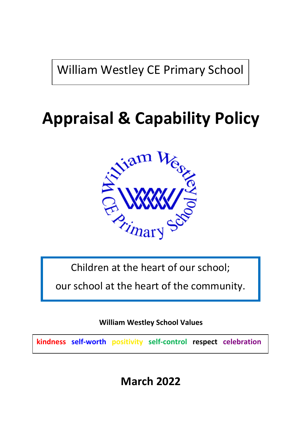William Westley CE Primary School

# **Appraisal & Capability Policy**



Children at the heart of our school;

our school at the heart of the community.

**William Westley School Values**

**kindness self-worth positivity self-control respect celebration**

**March 2022**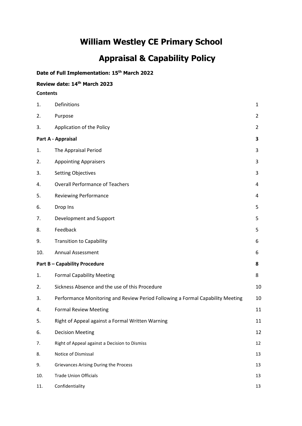# **William Westley CE Primary School**

# **Appraisal & Capability Policy**

# **Date of Full Implementation: 15th March 2022**

# **Review date: 14th March 2023**

#### **Contents**

| 1.                                 | Definitions                                                                    | $\mathbf{1}$   |
|------------------------------------|--------------------------------------------------------------------------------|----------------|
| 2.                                 | Purpose                                                                        | $\overline{2}$ |
| 3.                                 | Application of the Policy                                                      | $\overline{2}$ |
| Part A - Appraisal                 |                                                                                | 3              |
| 1.                                 | The Appraisal Period                                                           | 3              |
| 2.                                 | <b>Appointing Appraisers</b>                                                   | 3              |
| 3.                                 | <b>Setting Objectives</b>                                                      | 3              |
| 4.                                 | <b>Overall Performance of Teachers</b>                                         | 4              |
| 5.                                 | <b>Reviewing Performance</b>                                                   | 4              |
| 6.                                 | Drop Ins                                                                       | 5              |
| 7.                                 | Development and Support                                                        | 5              |
| 8.                                 | Feedback                                                                       | 5              |
| 9.                                 | <b>Transition to Capability</b>                                                | 6              |
| 10.                                | <b>Annual Assessment</b>                                                       | 6              |
| <b>Part B-Capability Procedure</b> |                                                                                | 8              |
| 1.                                 | <b>Formal Capability Meeting</b>                                               | 8              |
| 2.                                 | Sickness Absence and the use of this Procedure                                 | 10             |
| 3.                                 | Performance Monitoring and Review Period Following a Formal Capability Meeting | 10             |
| 4.                                 | <b>Formal Review Meeting</b>                                                   | 11             |
| 5.                                 | Right of Appeal against a Formal Written Warning                               | 11             |
| 6.                                 | <b>Decision Meeting</b>                                                        | 12             |
| 7.                                 | Right of Appeal against a Decision to Dismiss                                  | 12             |
| 8.                                 | Notice of Dismissal                                                            | 13             |
| 9.                                 | <b>Grievances Arising During the Process</b>                                   | 13             |
| 10.                                | <b>Trade Union Officials</b>                                                   | 13             |
| 11.                                | Confidentiality                                                                | 13             |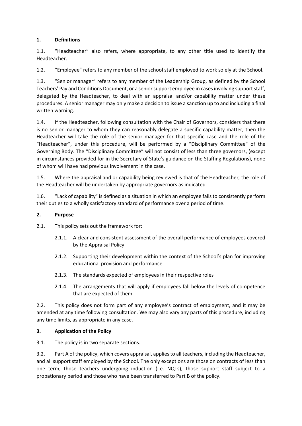#### **1. Definitions**

1.1. "Headteacher" also refers, where appropriate, to any other title used to identify the Headteacher.

1.2. "Employee" refers to any member of the school staff employed to work solely at the School.

1.3. "Senior manager" refers to any member of the Leadership Group, as defined by the School Teachers' Pay and Conditions Document, or a senior support employee in cases involving support staff, delegated by the Headteacher, to deal with an appraisal and/or capability matter under these procedures. A senior manager may only make a decision to issue a sanction up to and including a final written warning.

1.4. If the Headteacher, following consultation with the Chair of Governors, considers that there is no senior manager to whom they can reasonably delegate a specific capability matter, then the Headteacher will take the role of the senior manager for that specific case and the role of the "Headteacher", under this procedure, will be performed by a "Disciplinary Committee" of the Governing Body. The "Disciplinary Committee" will not consist of less than three governors, (except in circumstances provided for in the Secretary of State's guidance on the Staffing Regulations), none of whom will have had previous involvement in the case.

1.5. Where the appraisal and or capability being reviewed is that of the Headteacher, the role of the Headteacher will be undertaken by appropriate governors as indicated.

1.6. "Lack of capability" is defined as a situation in which an employee fails to consistently perform their duties to a wholly satisfactory standard of performance over a period of time.

#### **2. Purpose**

2.1. This policy sets out the framework for:

- 2.1.1. A clear and consistent assessment of the overall performance of employees covered by the Appraisal Policy
- 2.1.2. Supporting their development within the context of the School's plan for improving educational provision and performance
- 2.1.3. The standards expected of employees in their respective roles
- 2.1.4. The arrangements that will apply if employees fall below the levels of competence that are expected of them

2.2. This policy does not form part of any employee's contract of employment, and it may be amended at any time following consultation. We may also vary any parts of this procedure, including any time limits, as appropriate in any case.

# **3. Application of the Policy**

3.1. The policy is in two separate sections.

3.2. Part A of the policy, which covers appraisal, applies to all teachers, including the Headteacher, and all support staff employed by the School. The only exceptions are those on contracts of less than one term, those teachers undergoing induction (i.e. NQTs), those support staff subject to a probationary period and those who have been transferred to Part B of the policy.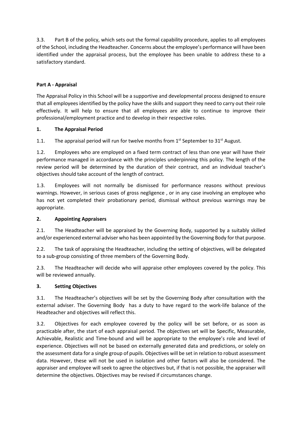3.3. Part B of the policy, which sets out the formal capability procedure, applies to all employees of the School, including the Headteacher. Concerns about the employee's performance will have been identified under the appraisal process, but the employee has been unable to address these to a satisfactory standard.

#### **Part A - Appraisal**

The Appraisal Policy in this School will be a supportive and developmental process designed to ensure that all employees identified by the policy have the skills and support they need to carry out their role effectively. It will help to ensure that all employees are able to continue to improve their professional/employment practice and to develop in their respective roles.

#### **1. The Appraisal Period**

1.1. The appraisal period will run for twelve months from  $1<sup>st</sup>$  September to  $31<sup>st</sup>$  August.

1.2. Employees who are employed on a fixed term contract of less than one year will have their performance managed in accordance with the principles underpinning this policy. The length of the review period will be determined by the duration of their contract, and an individual teacher's objectives should take account of the length of contract.

1.3. Employees will not normally be dismissed for performance reasons without previous warnings. However, in serious cases of gross negligence , or in any case involving an employee who has not yet completed their probationary period, dismissal without previous warnings may be appropriate.

#### **2. Appointing Appraisers**

2.1. The Headteacher will be appraised by the Governing Body, supported by a suitably skilled and/or experienced external adviser who has been appointed by the Governing Body for that purpose.

2.2. The task of appraising the Headteacher, including the setting of objectives, will be delegated to a sub-group consisting of three members of the Governing Body.

2.3. The Headteacher will decide who will appraise other employees covered by the policy. This will be reviewed annually.

#### **3. Setting Objectives**

3.1. The Headteacher's objectives will be set by the Governing Body after consultation with the external adviser. The Governing Body has a duty to have regard to the work-life balance of the Headteacher and objectives will reflect this.

3.2. Objectives for each employee covered by the policy will be set before, or as soon as practicable after, the start of each appraisal period. The objectives set will be Specific, Measurable, Achievable, Realistic and Time-bound and will be appropriate to the employee's role and level of experience. Objectives will not be based on externally generated data and predictions, or solely on the assessment data for a single group of pupils. Objectives will be set in relation to robust assessment data. However, these will not be used in isolation and other factors will also be considered. The appraiser and employee will seek to agree the objectives but, if that is not possible, the appraiser will determine the objectives. Objectives may be revised if circumstances change.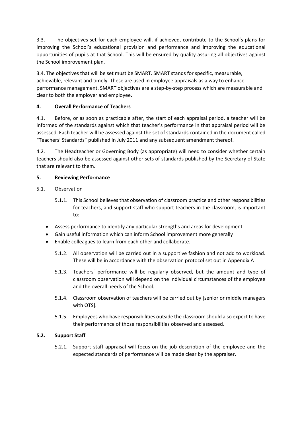3.3. The objectives set for each employee will, if achieved, contribute to the School's plans for improving the School's educational provision and performance and improving the educational opportunities of pupils at that School. This will be ensured by quality assuring all objectives against the School improvement plan.

3.4. The objectives that will be set must be SMART. SMART stands for specific, measurable, achievable, relevant and timely. These are used in employee appraisals as a way to enhance performance management. SMART objectives are a step-by-step process which are measurable and clear to both the employer and employee.

#### **4. Overall Performance of Teachers**

4.1. Before, or as soon as practicable after, the start of each appraisal period, a teacher will be informed of the standards against which that teacher's performance in that appraisal period will be assessed. Each teacher will be assessed against the set of standards contained in the document called "Teachers' Standards" published in July 2011 and any subsequent amendment thereof.

4.2. The Headteacher or Governing Body (as appropriate) will need to consider whether certain teachers should also be assessed against other sets of standards published by the Secretary of State that are relevant to them.

#### **5. Reviewing Performance**

#### 5.1. Observation

- 5.1.1. This School believes that observation of classroom practice and other responsibilities for teachers, and support staff who support teachers in the classroom, is important to:
- Assess performance to identify any particular strengths and areas for development
- Gain useful information which can inform School improvement more generally
- Enable colleagues to learn from each other and collaborate.
	- 5.1.2. All observation will be carried out in a supportive fashion and not add to workload. These will be in accordance with the observation protocol set out in Appendix A
	- 5.1.3. Teachers' performance will be regularly observed, but the amount and type of classroom observation will depend on the individual circumstances of the employee and the overall needs of the School.
	- 5.1.4. Classroom observation of teachers will be carried out by [senior or middle managers with QTS].
	- 5.1.5. Employees who have responsibilities outside the classroom should also expect to have their performance of those responsibilities observed and assessed.

#### **5.2. Support Staff**

5.2.1. Support staff appraisal will focus on the job description of the employee and the expected standards of performance will be made clear by the appraiser.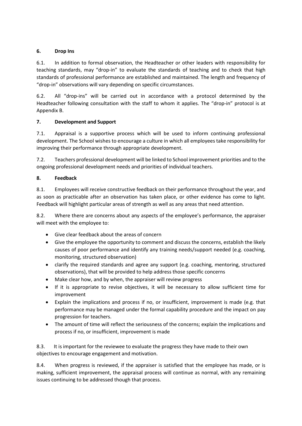#### **6. Drop Ins**

6.1. In addition to formal observation, the Headteacher or other leaders with responsibility for teaching standards, may "drop-in" to evaluate the standards of teaching and to check that high standards of professional performance are established and maintained. The length and frequency of "drop-in" observations will vary depending on specific circumstances.

6.2. All "drop-ins" will be carried out in accordance with a protocol determined by the Headteacher following consultation with the staff to whom it applies. The "drop-in" protocol is at Appendix B.

#### **7. Development and Support**

7.1. Appraisal is a supportive process which will be used to inform continuing professional development. The School wishes to encourage a culture in which all employees take responsibility for improving their performance through appropriate development.

7.2. Teachers professional development will be linked to School improvement priorities and to the ongoing professional development needs and priorities of individual teachers.

#### **8. Feedback**

8.1. Employees will receive constructive feedback on their performance throughout the year, and as soon as practicable after an observation has taken place, or other evidence has come to light. Feedback will highlight particular areas of strength as well as any areas that need attention.

8.2. Where there are concerns about any aspects of the employee's performance, the appraiser will meet with the employee to:

- Give clear feedback about the areas of concern
- Give the employee the opportunity to comment and discuss the concerns, establish the likely causes of poor performance and identify any training needs/support needed (e.g. coaching, monitoring, structured observation)
- clarify the required standards and agree any support (e.g. coaching, mentoring, structured observations), that will be provided to help address those specific concerns
- Make clear how, and by when, the appraiser will review progress
- If it is appropriate to revise objectives, it will be necessary to allow sufficient time for improvement
- Explain the implications and process if no, or insufficient, improvement is made (e.g. that performance may be managed under the formal capability procedure and the impact on pay progression for teachers.
- The amount of time will reflect the seriousness of the concerns; explain the implications and process if no, or insufficient, improvement is made

8.3. It is important for the reviewee to evaluate the progress they have made to their own objectives to encourage engagement and motivation.

8.4. When progress is reviewed, if the appraiser is satisfied that the employee has made, or is making, sufficient improvement, the appraisal process will continue as normal, with any remaining issues continuing to be addressed though that process.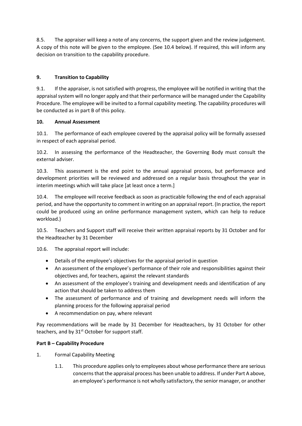8.5. The appraiser will keep a note of any concerns, the support given and the review judgement. A copy of this note will be given to the employee. (See 10.4 below). If required, this will inform any decision on transition to the capability procedure.

# **9. Transition to Capability**

9.1. If the appraiser, is not satisfied with progress, the employee will be notified in writing that the appraisal system will no longer apply and that their performance will be managed under the Capability Procedure. The employee will be invited to a formal capability meeting. The capability procedures will be conducted as in part B of this policy.

#### **10. Annual Assessment**

10.1. The performance of each employee covered by the appraisal policy will be formally assessed in respect of each appraisal period.

10.2. In assessing the performance of the Headteacher, the Governing Body must consult the external adviser.

10.3. This assessment is the end point to the annual appraisal process, but performance and development priorities will be reviewed and addressed on a regular basis throughout the year in interim meetings which will take place [at least once a term.]

10.4. The employee will receive feedback as soon as practicable following the end of each appraisal period, and have the opportunity to comment in writing on an appraisal report. (In practice, the report could be produced using an online performance management system, which can help to reduce workload.)

10.5. Teachers and Support staff will receive their written appraisal reports by 31 October and for the Headteacher by 31 December

10.6. The appraisal report will include:

- Details of the employee's objectives for the appraisal period in question
- An assessment of the employee's performance of their role and responsibilities against their objectives and, for teachers, against the relevant standards
- An assessment of the employee's training and development needs and identification of any action that should be taken to address them
- The assessment of performance and of training and development needs will inform the planning process for the following appraisal period
- A recommendation on pay, where relevant

Pay recommendations will be made by 31 December for Headteachers, by 31 October for other teachers, and by 31<sup>st</sup> October for support staff.

# **Part B – Capability Procedure**

- 1. Formal Capability Meeting
	- 1.1. This procedure applies only to employees about whose performance there are serious concerns that the appraisal process has been unable to address. If under Part A above, an employee's performance is not wholly satisfactory, the senior manager, or another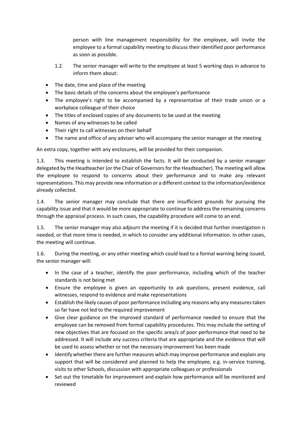person with line management responsibility for the employee, will invite the employee to a formal capability meeting to discuss their identified poor performance as soon as possible.

- 1.2. The senior manager will write to the employee at least 5 working days in advance to inform them about:
- The date, time and place of the meeting
- The basic details of the concerns about the employee's performance
- The employee's right to be accompanied by a representative of their trade union or a workplace colleague of their choice
- The titles of enclosed copies of any documents to be used at the meeting
- Names of any witnesses to be called
- Their right to call witnesses on their behalf
- The name and office of any adviser who will accompany the senior manager at the meeting

An extra copy, together with any enclosures, will be provided for their companion.

1.3. This meeting is intended to establish the facts. It will be conducted by a senior manager delegated by the Headteacher (or the Chair of Governors for the Headteacher). The meeting will allow the employee to respond to concerns about their performance and to make any relevant representations. This may provide new information or a different context to the information/evidence already collected.

1.4. The senior manager may conclude that there are insufficient grounds for pursuing the capability issue and that it would be more appropriate to continue to address the remaining concerns through the appraisal process. In such cases, the capability procedure will come to an end.

1.5. The senior manager may also adjourn the meeting if it is decided that further investigation is needed, or that more time is needed, in which to consider any additional information. In other cases, the meeting will continue.

1.6. During the meeting, or any other meeting which could lead to a formal warning being issued, the senior manager will:

- In the case of a teacher, identify the poor performance, including which of the teacher standards is not being met
- Ensure the employee is given an opportunity to ask questions, present evidence, call witnesses, respond to evidence and make representations
- Establish the likely causes of poor performance including any reasons why any measures taken so far have not led to the required improvement
- Give clear guidance on the improved standard of performance needed to ensure that the employee can be removed from formal capability procedures. This may include the setting of new objectives that are focused on the specific area/s of poor performance that need to be addressed. It will include any success criteria that are appropriate and the evidence that will be used to assess whether or not the necessary improvement has been made
- Identify whether there are further measures which may improve performance and explain any support that will be considered and planned to help the employee, e.g. in-service training, visits to other Schools, discussion with appropriate colleagues or professionals
- Set out the timetable for improvement and explain how performance will be monitored and reviewed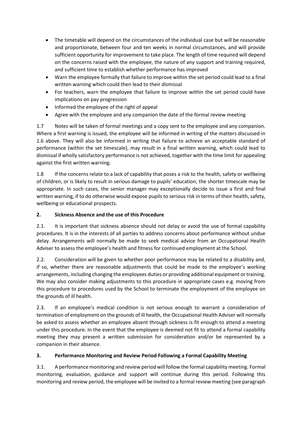- The timetable will depend on the circumstances of the individual case but will be reasonable and proportionate, between four and ten weeks in normal circumstances, and will provide sufficient opportunity for improvement to take place. The length of time required will depend on the concerns raised with the employee, the nature of any support and training required, and sufficient time to establish whether performance has improved
- Warn the employee formally that failure to improve within the set period could lead to a final written warning which could then lead to their dismissal
- For teachers, warn the employee that failure to improve within the set period could have implications on pay progression
- Informed the employee of the right of appeal
- Agree with the employee and any companion the date of the formal review meeting

1.7 Notes will be taken of formal meetings and a copy sent to the employee and any companion. Where a first warning is issued, the employee will be informed in writing of the matters discussed in 1.6 above. They will also be informed in writing that failure to achieve an acceptable standard of performance (within the set timescale), may result in a final written warning, which could lead to dismissal if wholly satisfactory performance is not achieved, together with the time limit for appealing against the first written warning.

1.8 If the concerns relate to a lack of capability that poses a risk to the health, safety or wellbeing of children, or is likely to result in serious damage to pupils' education, the shorter timescale may be appropriate. In such cases, the senior manager may exceptionally decide to issue a first and final written warning, if to do otherwise would expose pupils to serious risk in terms of their health, safety, wellbeing or educational prospects.

# **2. Sickness Absence and the use of this Procedure**

2.1. It is important that sickness absence should not delay or avoid the use of formal capability procedures. It is in the interests of all parties to address concerns about performance without undue delay. Arrangements will normally be made to seek medical advice from an Occupational Health Adviser to assess the employee's health and fitness for continued employment at the School.

2.2. Consideration will be given to whether poor performance may be related to a disability and, if so, whether there are reasonable adjustments that could be made to the employee's working arrangements, including changing the employees duties or providing additional equipment or training. We may also consider making adjustments to this procedure in appropriate cases e.g. moving from this procedure to procedures used by the School to terminate the employment of the employee on the grounds of ill health.

2.3. If an employee's medical condition is not serious enough to warrant a consideration of termination of employment on the grounds of ill health, the Occupational Health Adviser will normally be asked to assess whether an employee absent through sickness is fit enough to attend a meeting under this procedure. In the event that the employee is deemed not fit to attend a formal capability meeting they may present a written submission for consideration and/or be represented by a companion in their absence.

# **3. Performance Monitoring and Review Period Following a Formal Capability Meeting**

3.1. A performance monitoring and review period will follow the formal capability meeting. Formal monitoring, evaluation, guidance and support will continue during this period. Following this monitoring and review period, the employee will be invited to a formal review meeting (see paragraph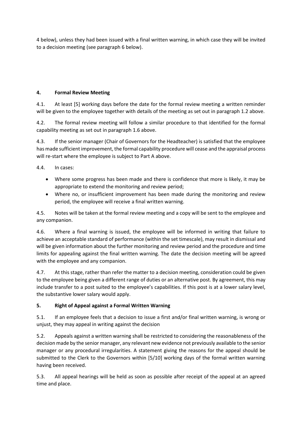4 below), unless they had been issued with a final written warning, in which case they will be invited to a decision meeting (see paragraph 6 below).

### **4. Formal Review Meeting**

4.1. At least [5] working days before the date for the formal review meeting a written reminder will be given to the employee together with details of the meeting as set out in paragraph 1.2 above.

4.2. The formal review meeting will follow a similar procedure to that identified for the formal capability meeting as set out in paragraph 1.6 above.

4.3. If the senior manager (Chair of Governors for the Headteacher) is satisfied that the employee has made sufficient improvement, the formal capability procedure will cease and the appraisal process will re-start where the employee is subject to Part A above.

4.4. In cases:

- Where some progress has been made and there is confidence that more is likely, it may be appropriate to extend the monitoring and review period;
- Where no, or insufficient improvement has been made during the monitoring and review period, the employee will receive a final written warning.

4.5. Notes will be taken at the formal review meeting and a copy will be sent to the employee and any companion.

4.6. Where a final warning is issued, the employee will be informed in writing that failure to achieve an acceptable standard of performance (within the set timescale), may result in dismissal and will be given information about the further monitoring and review period and the procedure and time limits for appealing against the final written warning. The date the decision meeting will be agreed with the employee and any companion.

4.7. At this stage, rather than refer the matter to a decision meeting, consideration could be given to the employee being given a different range of duties or an alternative post. By agreement, this may include transfer to a post suited to the employee's capabilities. If this post is at a lower salary level, the substantive lower salary would apply.

# **5. Right of Appeal against a Formal Written Warning**

5.1. If an employee feels that a decision to issue a first and/or final written warning, is wrong or unjust, they may appeal in writing against the decision

5.2. Appeals against a written warning shall be restricted to considering the reasonableness of the decision made by the senior manager, any relevant new evidence not previously available to the senior manager or any procedural irregularities. A statement giving the reasons for the appeal should be submitted to the Clerk to the Governors within [5/10] working days of the formal written warning having been received.

5.3. All appeal hearings will be held as soon as possible after receipt of the appeal at an agreed time and place.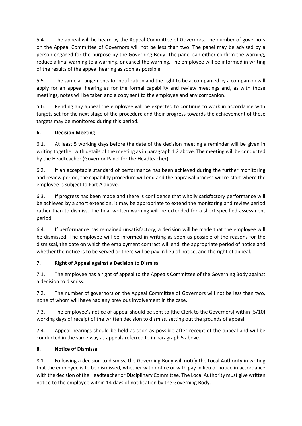5.4. The appeal will be heard by the Appeal Committee of Governors. The number of governors on the Appeal Committee of Governors will not be less than two. The panel may be advised by a person engaged for the purpose by the Governing Body. The panel can either confirm the warning, reduce a final warning to a warning, or cancel the warning. The employee will be informed in writing of the results of the appeal hearing as soon as possible.

5.5. The same arrangements for notification and the right to be accompanied by a companion will apply for an appeal hearing as for the formal capability and review meetings and, as with those meetings, notes will be taken and a copy sent to the employee and any companion.

5.6. Pending any appeal the employee will be expected to continue to work in accordance with targets set for the next stage of the procedure and their progress towards the achievement of these targets may be monitored during this period.

# **6. Decision Meeting**

6.1. At least 5 working days before the date of the decision meeting a reminder will be given in writing together with details of the meeting as in paragraph 1.2 above. The meeting will be conducted by the Headteacher (Governor Panel for the Headteacher).

6.2. If an acceptable standard of performance has been achieved during the further monitoring and review period, the capability procedure will end and the appraisal process will re-start where the employee is subject to Part A above.

6.3. If progress has been made and there is confidence that wholly satisfactory performance will be achieved by a short extension, it may be appropriate to extend the monitoring and review period rather than to dismiss. The final written warning will be extended for a short specified assessment period.

6.4. If performance has remained unsatisfactory, a decision will be made that the employee will be dismissed. The employee will be informed in writing as soon as possible of the reasons for the dismissal, the date on which the employment contract will end, the appropriate period of notice and whether the notice is to be served or there will be pay in lieu of notice, and the right of appeal.

# **7. Right of Appeal against a Decision to Dismiss**

7.1. The employee has a right of appeal to the Appeals Committee of the Governing Body against a decision to dismiss.

7.2. The number of governors on the Appeal Committee of Governors will not be less than two, none of whom will have had any previous involvement in the case.

7.3. The employee's notice of appeal should be sent to [the Clerk to the Governors] within [5/10] working days of receipt of the written decision to dismiss, setting out the grounds of appeal.

7.4. Appeal hearings should be held as soon as possible after receipt of the appeal and will be conducted in the same way as appeals referred to in paragraph 5 above.

#### **8. Notice of Dismissal**

8.1. Following a decision to dismiss, the Governing Body will notify the Local Authority in writing that the employee is to be dismissed, whether with notice or with pay in lieu of notice in accordance with the decision of the Headteacher or Disciplinary Committee. The Local Authority must give written notice to the employee within 14 days of notification by the Governing Body.